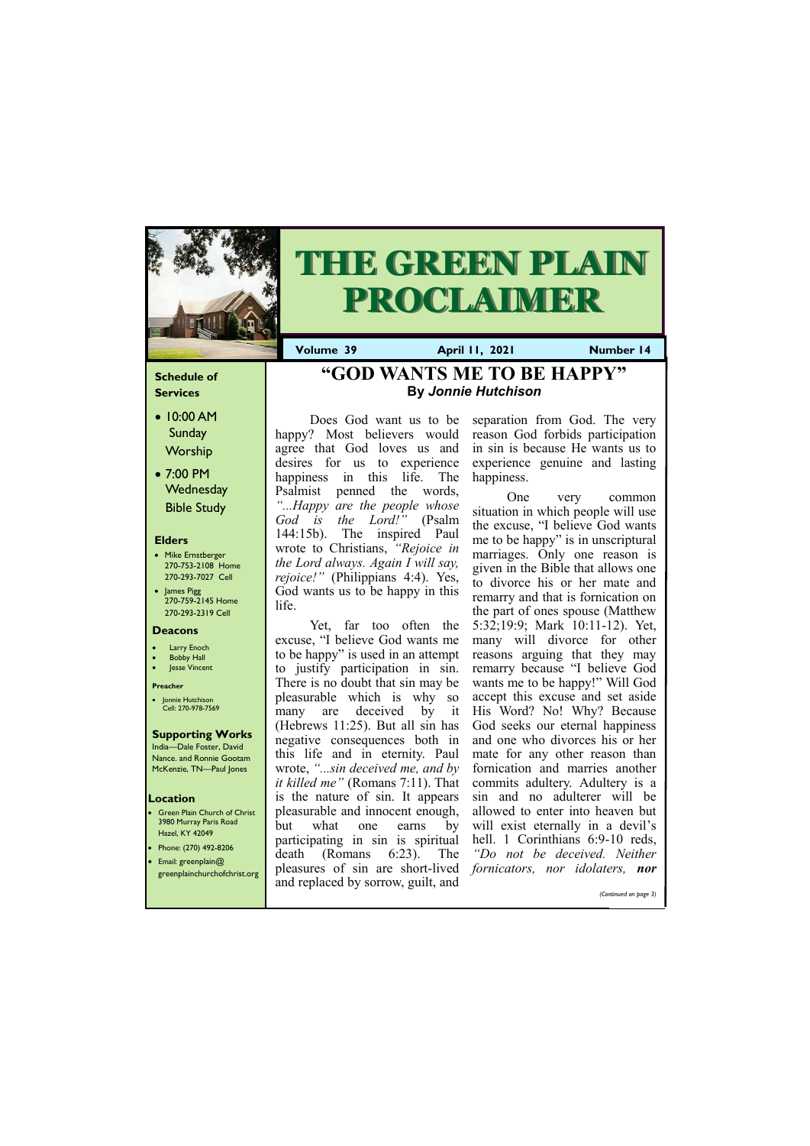### **Schedule of Services**

- 10:00 AM Sunday Worship
- 7:00 PM **Wednesday** Bible Study

### **Elders**

- Mike Ernstberger 270-753-2108 Home 270-293-7027 Cell
- James Pigg 270-759-2145 Home 270-293-2319 Cell

- **Green Plain Church of Christ** 3980 Murray Paris Road Hazel, KY 42049 • Phone: (270) 492-8206
- Email: greenplain@



# **THE GREEN PLAIN PROCLAIMER**

**Volume 39 April 11, 2021 Mumber 14** 

### **Location**

#### **Deacons**

- **Larry Enoch**
- **Bobby Hall**
- Jesse Vincent

### **Preacher**

• Jonnie Hutchison Cell: 270-978-7569

### **Supporting Works**

India—Dale Foster, David Nance. and Ronnie Gootam McKenzie, TN—Paul Jones

Does God want us to be happy? Most believers would agree that God loves us and desires for us to experience happiness in this life. The Psalmist penned the words, *"...Happy are the people whose God is the Lord!"* (Psalm 144:15b). The inspired Paul wrote to Christians, *"Rejoice in the Lord always. Again I will say, rejoice!"* (Philippians 4:4). Yes, God wants us to be happy in this life.

Yet, far too often the excuse, "I believe God wants me to be happy" is used in an attempt to justify participation in sin. There is no doubt that sin may be pleasurable which is why so many are deceived by it (Hebrews 11:25). But all sin has negative consequences both in this life and in eternity. Paul wrote, *"...sin deceived me, and by it killed me"* (Romans 7:11). That is the nature of sin. It appears pleasurable and innocent enough, but what one earns by participating in sin is spiritual death (Romans 6:23). The

| $\bullet$ cinal. greemplange<br>greenplainchurchofchrist.org | pleasures of sin are short-lived <i>fornicators</i> , nor <i>idolaters</i> , <b>nor</b><br>and replaced by sorrow, guilt, and |  |                       |  |
|--------------------------------------------------------------|-------------------------------------------------------------------------------------------------------------------------------|--|-----------------------|--|
|                                                              |                                                                                                                               |  |                       |  |
|                                                              |                                                                                                                               |  | (Continued on page 3) |  |
|                                                              |                                                                                                                               |  |                       |  |

separation from God. The very reason God forbids participation in sin is because He wants us to experience genuine and lasting happiness.

One very common situation in which people will use the excuse, "I believe God wants me to be happy" is in unscriptural marriages. Only one reason is given in the Bible that allows one to divorce his or her mate and remarry and that is fornication on the part of ones spouse (Matthew 5:32;19:9; Mark 10:11-12). Yet, many will divorce for other reasons arguing that they may remarry because "I believe God wants me to be happy!" Will God accept this excuse and set aside His Word? No! Why? Because God seeks our eternal happiness and one who divorces his or her mate for any other reason than fornication and marries another commits adultery. Adultery is a sin and no adulterer will be allowed to enter into heaven but will exist eternally in a devil's hell. 1 Corinthians 6:9-10 reds, *"Do not be deceived. Neither* 

### **"GOD WANTS ME TO BE HAPPY["](http://elizabethtoncoc.org/bulletin-articles/light-shines-brightest-in-dark-places) By** *Jonnie Hutchison*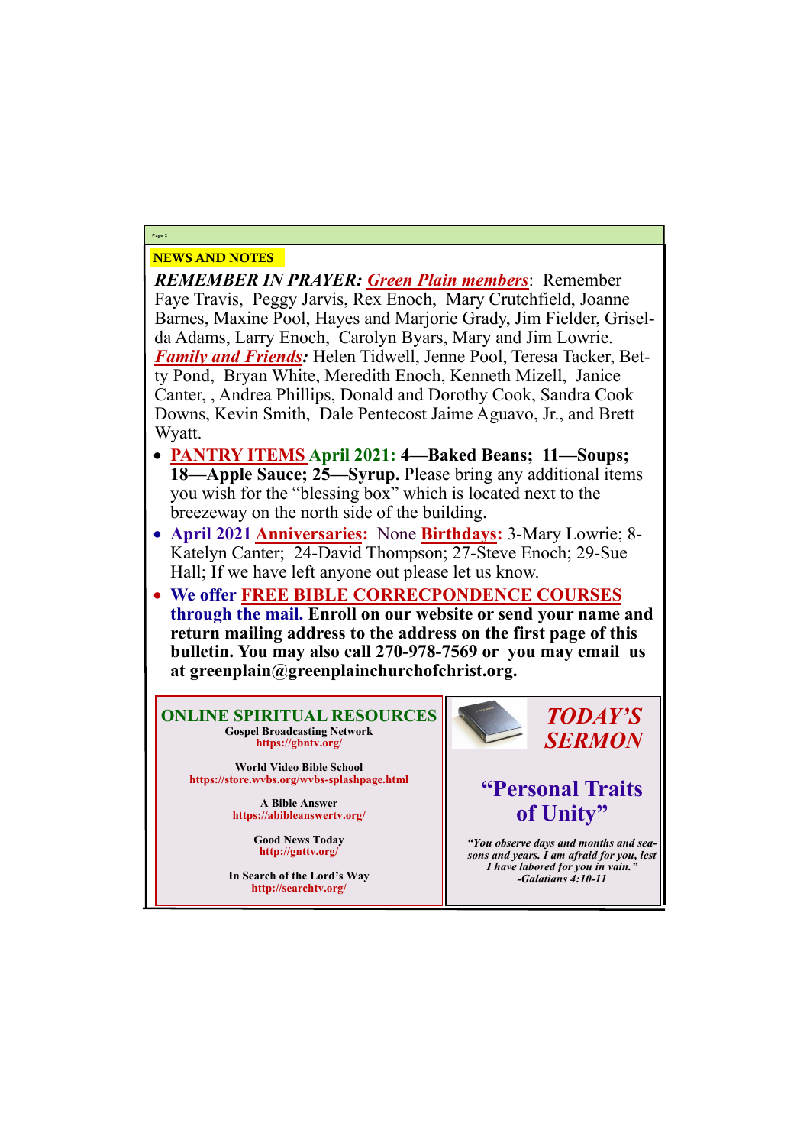### NEWS AND NOTES

*REMEMBER IN PRAYER: Green Plain members*: Remember Faye Travis, Peggy Jarvis, Rex Enoch, Mary Crutchfield, Joanne Barnes, Maxine Pool, Hayes and Marjorie Grady, Jim Fielder, Griselda Adams, Larry Enoch, Carolyn Byars, Mary and Jim Lowrie. *Family and Friends:* Helen Tidwell, Jenne Pool, Teresa Tacker, Betty Pond, Bryan White, Meredith Enoch, Kenneth Mizell, Janice Canter, , Andrea Phillips, Donald and Dorothy Cook, Sandra Cook Downs, Kevin Smith, Dale Pentecost Jaime Aguavo, Jr., and Brett Wyatt.

- **PANTRY ITEMS April 2021: 4—Baked Beans; 11—Soups; 18—Apple Sauce; 25—Syrup.** Please bring any additional items you wish for the "blessing box" which is located next to the breezeway on the north side of the building.
- **April 2021 Anniversaries:** None **Birthdays:** 3-Mary Lowrie; 8- Katelyn Canter; 24-David Thompson; 27-Steve Enoch; 29-Sue Hall; If we have left anyone out please let us know.
- **We offer FREE BIBLE CORRECPONDENCE COURSES through the mail. Enroll on our website or send your name and return mailing address to the address on the first page of this bulletin. You may also call 270-978-7569 or you may email us at greenplain@greenplainchurchofchrist.org.**

**Page 2**

**ONLINE SPIRITUAL RESOURCES Gospel Broadcasting Network https://gbntv.org/**

**World Video Bible School https://store.wvbs.org/wvbs-splashpage.html**

> **A Bible Answer https://abibleanswertv.org/**

> > **Good News Today http://gnttv.org/**



**In Search of the Lord's Way http://searchtv.org/**

*TODAY'S SERMON*

## **"Personal Traits of Unity"**

*"You observe days and months and seasons and years. I am afraid for you, lest I have labored for you in vain." -Galatians 4:10-11*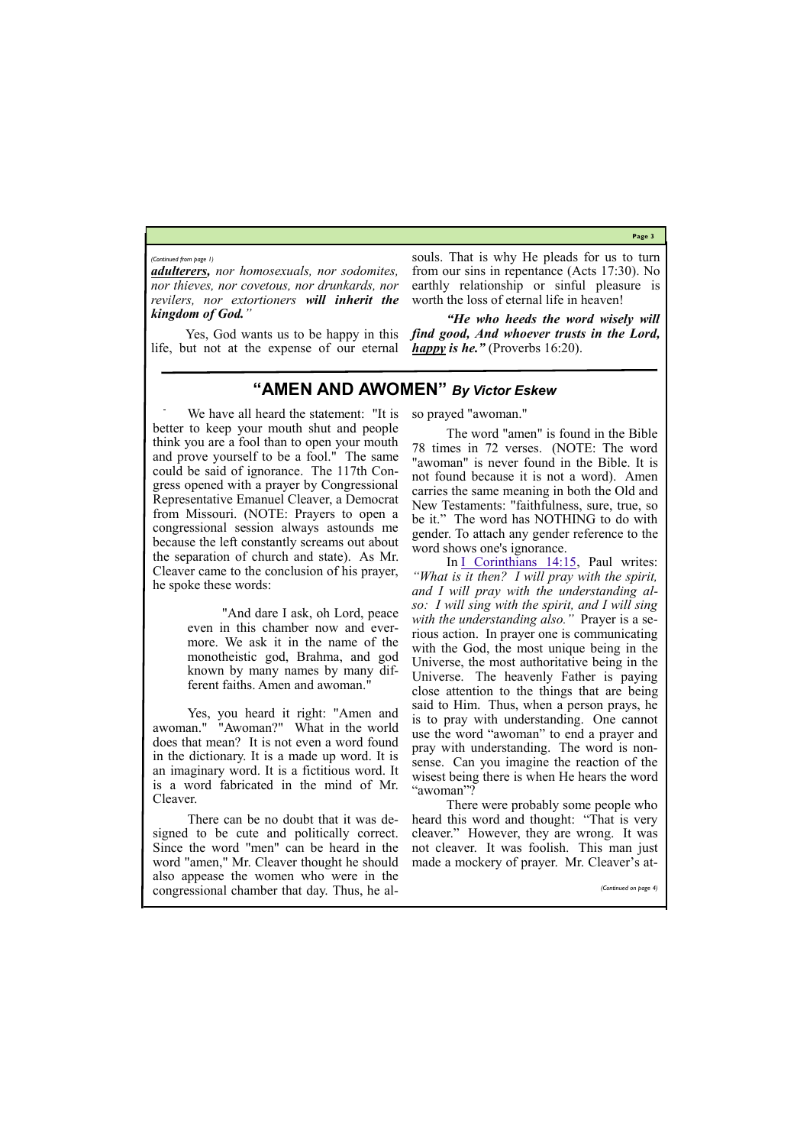**Page 3**

*adulterers, nor homosexuals, nor sodomites, nor thieves, nor covetous, nor drunkards, nor revilers, nor extortioners will inherit the kingdom of God."*

Yes, God wants us to be happy in this life, but not at the expense of our eternal

souls. That is why He pleads for us to turn from our sins in repentance (Acts 17:30). No earthly relationship or sinful pleasure is worth the loss of eternal life in heaven!

*"He who heeds the word wisely will find good, And whoever trusts in the Lord, happy is he."* (Proverbs 16:20).

#### *(Continued from page 1)*

### **"AMEN AND AWOMEN"** *By Victor Eskew*

We have all heard the statement: "It is better to keep your mouth shut and people think you are a fool than to open your mouth and prove yourself to be a fool." The same could be said of ignorance. The 117th Congress opened with a prayer by Congressional Representative Emanuel Cleaver, a Democrat from Missouri. (NOTE: Prayers to open a congressional session always astounds me because the left constantly screams out about the separation of church and state). As Mr. Cleaver came to the conclusion of his prayer, he spoke these words:

> "And dare I ask, oh Lord, peace even in this chamber now and evermore. We ask it in the name of the monotheistic god, Brahma, and god known by many names by many different faiths. Amen and awoman."

Yes, you heard it right: "Amen and awoman." "Awoman?" What in the world does that mean? It is not even a word found in the dictionary. It is a made up word. It is an imaginary word. It is a fictitious word. It is a word fabricated in the mind of Mr. Cleaver.

In  $I$  Corinthians 14:15, Paul writes: *"What is it then? I will pray with the spirit, and I will pray with the understanding also: I will sing with the spirit, and I will sing with the understanding also."* Prayer is a serious action. In prayer one is communicating with the God, the most unique being in the Universe, the most authoritative being in the Universe. The heavenly Father is paying close attention to the things that are being said to Him. Thus, when a person prays, he is to pray with understanding. One cannot use the word "awoman" to end a prayer and pray with understanding. The word is nonsense. Can you imagine the reaction of the wisest being there is when He hears the word "awoman"?

There can be no doubt that it was designed to be cute and politically correct. Since the word "men" can be heard in the word "amen," Mr. Cleaver thought he should so prayed "awoman."

The word "amen" is found in the Bible 78 times in 72 verses. (NOTE: The word "awoman" is never found in the Bible. It is not found because it is not a word). Amen carries the same meaning in both the Old and New Testaments: "faithfulness, sure, true, so be it." The word has NOTHING to do with gender. To attach any gender reference to the word shows one's ignorance.

|  | also appease the women who were in the       |  |                       |
|--|----------------------------------------------|--|-----------------------|
|  | congressional chamber that day. Thus, he al- |  | (Continued on page 4) |

There were probably some people who heard this word and thought: "That is very cleaver." However, they are wrong. It was not cleaver. It was foolish. This man just made a mockery of prayer. Mr. Cleaver's at